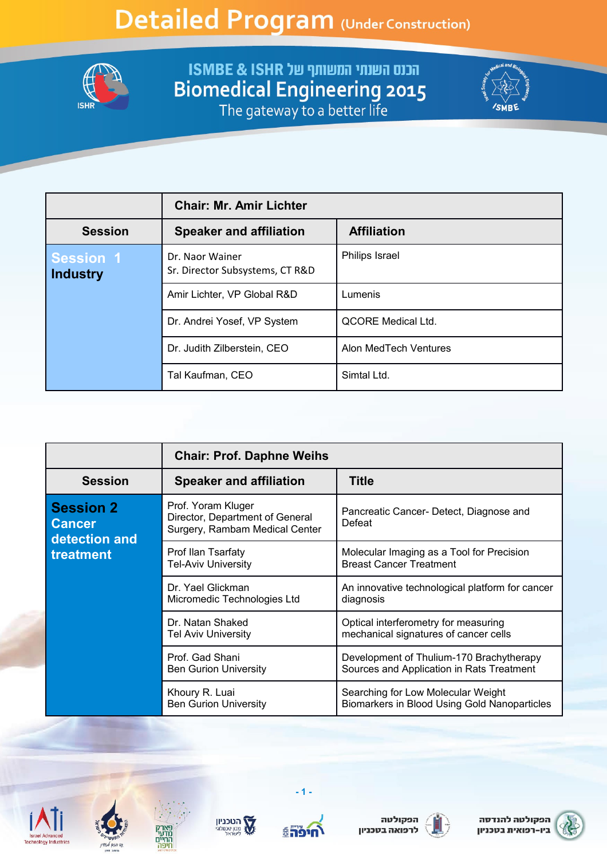

**FISMBE & ISHR שנתי המשותף של ISMBE & ISHR**<br>Biomedical Engineering 2015<br>The gateway to a better life



|                                     | <b>Chair: Mr. Amir Lichter</b>                     |                           |
|-------------------------------------|----------------------------------------------------|---------------------------|
| <b>Session</b>                      | <b>Speaker and affiliation</b>                     | <b>Affiliation</b>        |
| <b>Session 1</b><br><b>Industry</b> | Dr. Naor Wainer<br>Sr. Director Subsystems, CT R&D | Philips Israel            |
|                                     | Amir Lichter, VP Global R&D                        | Lumenis                   |
|                                     | Dr. Andrei Yosef, VP System                        | <b>QCORE Medical Ltd.</b> |
|                                     | Dr. Judith Zilberstein, CEO                        | Alon MedTech Ventures     |
|                                     | Tal Kaufman, CEO                                   | Simtal Ltd.               |

|                                                    | <b>Chair: Prof. Daphne Weihs</b>                                                        |                                                                                       |
|----------------------------------------------------|-----------------------------------------------------------------------------------------|---------------------------------------------------------------------------------------|
| <b>Session</b>                                     | <b>Speaker and affiliation</b>                                                          | <b>Title</b>                                                                          |
| <b>Session 2</b><br><b>Cancer</b><br>detection and | Prof. Yoram Kluger<br>Director, Department of General<br>Surgery, Rambam Medical Center | Pancreatic Cancer- Detect, Diagnose and<br>Defeat                                     |
| treatment                                          | Prof Ilan Tsarfaty<br><b>Tel-Aviv University</b>                                        | Molecular Imaging as a Tool for Precision<br><b>Breast Cancer Treatment</b>           |
|                                                    | Dr. Yael Glickman<br>Micromedic Technologies Ltd                                        | An innovative technological platform for cancer<br>diagnosis                          |
|                                                    | Dr. Natan Shaked<br><b>Tel Aviv University</b>                                          | Optical interferometry for measuring<br>mechanical signatures of cancer cells         |
|                                                    | Prof. Gad Shani<br><b>Ben Gurion University</b>                                         | Development of Thulium-170 Brachytherapy<br>Sources and Application in Rats Treatment |
|                                                    | Khoury R. Luai<br><b>Ben Gurion University</b>                                          | Searching for Low Molecular Weight<br>Biomarkers in Blood Using Gold Nanoparticles    |









 $-1.$ 





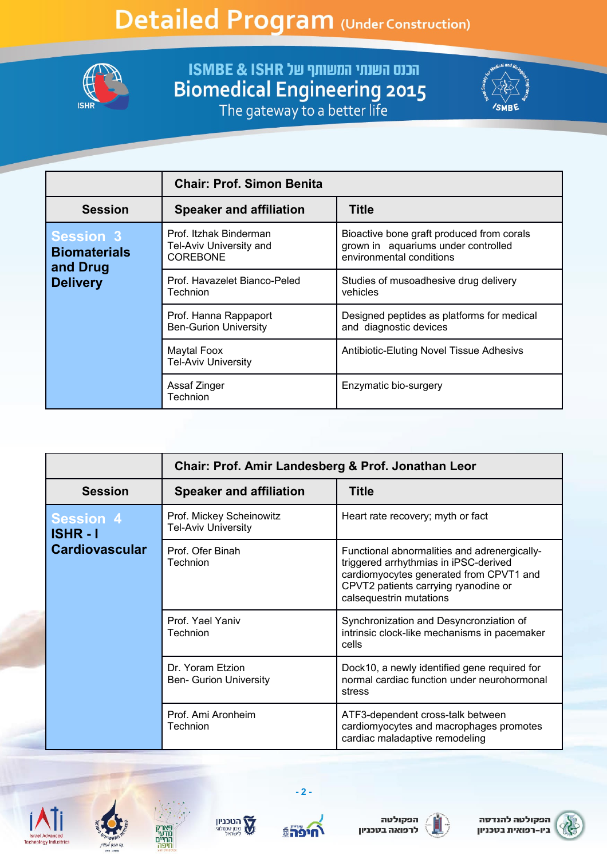

**EXECUTE: הכנס השנתי המשותף של ISMBE & ISHR**<br>Biomedical Engineering 2015<br>The gateway to a better life



|                                                     | <b>Chair: Prof. Simon Benita</b>                                     |                                                                                                              |
|-----------------------------------------------------|----------------------------------------------------------------------|--------------------------------------------------------------------------------------------------------------|
| <b>Session</b>                                      | <b>Speaker and affiliation</b>                                       | <b>Title</b>                                                                                                 |
| <b>Session 3</b><br><b>Biomaterials</b><br>and Drug | Prof. Itzhak Binderman<br>Tel-Aviv University and<br><b>COREBONE</b> | Bioactive bone graft produced from corals<br>grown in aquariums under controlled<br>environmental conditions |
| <b>Delivery</b>                                     | Prof. Havazelet Bianco-Peled<br>Technion                             | Studies of musoadhesive drug delivery<br>vehicles                                                            |
|                                                     | Prof. Hanna Rappaport<br><b>Ben-Gurion University</b>                | Designed peptides as platforms for medical<br>and diagnostic devices                                         |
|                                                     | Maytal Foox<br><b>Tel-Aviv University</b>                            | Antibiotic-Eluting Novel Tissue Adhesivs                                                                     |
|                                                     | Assaf Zinger<br>Technion                                             | Enzymatic bio-surgery                                                                                        |

|                                     | Chair: Prof. Amir Landesberg & Prof. Jonathan Leor     |                                                                                                                                                                                                     |
|-------------------------------------|--------------------------------------------------------|-----------------------------------------------------------------------------------------------------------------------------------------------------------------------------------------------------|
| <b>Session</b>                      | <b>Speaker and affiliation</b>                         | <b>Title</b>                                                                                                                                                                                        |
| <b>Session 4</b><br><b>ISHR - I</b> | Prof. Mickey Scheinowitz<br><b>Tel-Aviv University</b> | Heart rate recovery; myth or fact                                                                                                                                                                   |
| <b>Cardiovascular</b>               | Prof. Ofer Binah<br>Technion                           | Functional abnormalities and adrenergically-<br>triggered arrhythmias in iPSC-derived<br>cardiomyocytes generated from CPVT1 and<br>CPVT2 patients carrying ryanodine or<br>calsequestrin mutations |
|                                     | Prof. Yael Yaniv<br><b>Technion</b>                    | Synchronization and Desyncronziation of<br>intrinsic clock-like mechanisms in pacemaker<br>cells                                                                                                    |
|                                     | Dr. Yoram Etzion<br><b>Ben- Gurion University</b>      | Dock10, a newly identified gene required for<br>normal cardiac function under neurohormonal<br>stress                                                                                               |
|                                     | Prof. Ami Aronheim<br>Technion                         | ATF3-dependent cross-talk between<br>cardiomyocytes and macrophages promotes<br>cardiac maladaptive remodeling                                                                                      |









 $-2-$ 





הפקולטה להנדסה ביו-רפואית בטכניון

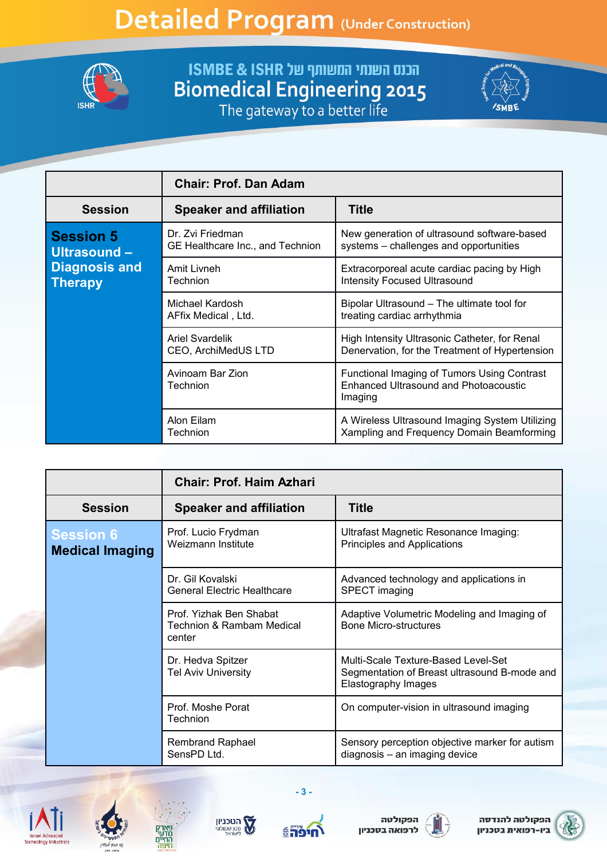

**FISMBE & ISHR שנתי המשותף של ISMBE & ISHR**<br>Biomedical Engineering 2015<br>The gateway to a better life



|                                        | <b>Chair: Prof. Dan Adam</b>                         |                                                                                                 |
|----------------------------------------|------------------------------------------------------|-------------------------------------------------------------------------------------------------|
| <b>Session</b>                         | <b>Speaker and affiliation</b>                       | <b>Title</b>                                                                                    |
| <b>Session 5</b><br>Ultrasound -       | Dr. Zvi Friedman<br>GE Healthcare Inc., and Technion | New generation of ultrasound software-based<br>systems - challenges and opportunities           |
| <b>Diagnosis and</b><br><b>Therapy</b> | Amit Livneh<br>Technion                              | Extracorporeal acute cardiac pacing by High<br><b>Intensity Focused Ultrasound</b>              |
|                                        | Michael Kardosh<br>AFfix Medical, Ltd.               | Bipolar Ultrasound – The ultimate tool for<br>treating cardiac arrhythmia                       |
|                                        | <b>Ariel Svardelik</b><br>CEO, ArchiMedUS LTD        | High Intensity Ultrasonic Catheter, for Renal<br>Denervation, for the Treatment of Hypertension |
|                                        | Avinoam Bar Zion<br>Technion                         | Functional Imaging of Tumors Using Contrast<br>Enhanced Ultrasound and Photoacoustic<br>Imaging |
|                                        | Alon Eilam<br>Technion                               | A Wireless Ultrasound Imaging System Utilizing<br>Xampling and Frequency Domain Beamforming     |

|                                            | <b>Chair: Prof. Haim Azhari</b>                                           |                                                                                                            |
|--------------------------------------------|---------------------------------------------------------------------------|------------------------------------------------------------------------------------------------------------|
| <b>Session</b>                             | <b>Speaker and affiliation</b>                                            | <b>Title</b>                                                                                               |
| <b>Session 6</b><br><b>Medical Imaging</b> | Prof. Lucio Frydman<br>Weizmann Institute                                 | Ultrafast Magnetic Resonance Imaging:<br>Principles and Applications                                       |
|                                            | Dr. Gil Kovalski<br><b>General Electric Healthcare</b>                    | Advanced technology and applications in<br>SPECT imaging                                                   |
|                                            | Prof. Yizhak Ben Shabat<br><b>Technion &amp; Rambam Medical</b><br>center | Adaptive Volumetric Modeling and Imaging of<br><b>Bone Micro-structures</b>                                |
|                                            | Dr. Hedva Spitzer<br><b>Tel Aviv University</b>                           | Multi-Scale Texture-Based Level-Set<br>Segmentation of Breast ultrasound B-mode and<br>Elastography Images |
|                                            | Prof. Moshe Porat<br><b>Technion</b>                                      | On computer-vision in ultrasound imaging                                                                   |
|                                            | <b>Rembrand Raphael</b><br>SensPD Ltd.                                    | Sensory perception objective marker for autism<br>diagnosis - an imaging device                            |









 $-3-$ 





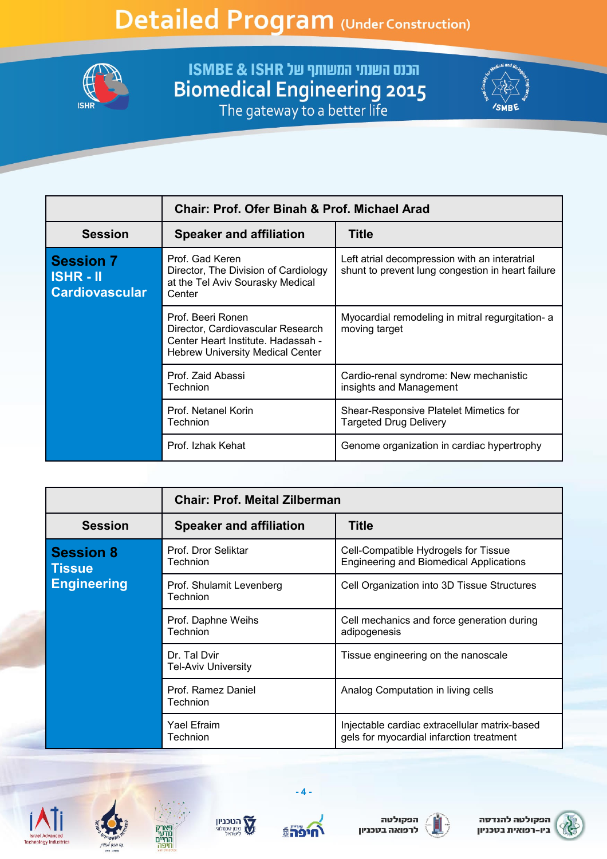

**FISMBE & ISHR שנתי המשותף של ISMBE & ISHR**<br>Biomedical Engineering 2015<br>The gateway to a better life



|                                                          | <b>Chair: Prof. Ofer Binah &amp; Prof. Michael Arad</b>                                                                                 |                                                                                                    |
|----------------------------------------------------------|-----------------------------------------------------------------------------------------------------------------------------------------|----------------------------------------------------------------------------------------------------|
| <b>Session</b>                                           | <b>Speaker and affiliation</b>                                                                                                          | Title                                                                                              |
| <b>Session 7</b><br>$ISHR - II$<br><b>Cardiovascular</b> | Prof. Gad Keren<br>Director, The Division of Cardiology<br>at the Tel Aviv Sourasky Medical<br>Center                                   | Left atrial decompression with an interatrial<br>shunt to prevent lung congestion in heart failure |
|                                                          | Prof. Beeri Ronen<br>Director, Cardiovascular Research<br>Center Heart Institute, Hadassah -<br><b>Hebrew University Medical Center</b> | Myocardial remodeling in mitral regurgitation- a<br>moving target                                  |
|                                                          | Prof. Zaid Abassi<br>Technion                                                                                                           | Cardio-renal syndrome: New mechanistic<br>insights and Management                                  |
|                                                          | Prof. Netanel Korin<br>Technion                                                                                                         | Shear-Responsive Platelet Mimetics for<br><b>Targeted Drug Delivery</b>                            |
|                                                          | Prof. Izhak Kehat                                                                                                                       | Genome organization in cardiac hypertrophy                                                         |

|                                   | <b>Chair: Prof. Meital Zilberman</b>       |                                                                                           |
|-----------------------------------|--------------------------------------------|-------------------------------------------------------------------------------------------|
| <b>Session</b>                    | <b>Speaker and affiliation</b>             | <b>Title</b>                                                                              |
| <b>Session 8</b><br><b>Tissue</b> | Prof. Dror Seliktar<br>Technion            | Cell-Compatible Hydrogels for Tissue<br><b>Engineering and Biomedical Applications</b>    |
| <b>Engineering</b>                | Prof. Shulamit Levenberg<br>Technion       | Cell Organization into 3D Tissue Structures                                               |
|                                   | Prof. Daphne Weihs<br>Technion             | Cell mechanics and force generation during<br>adipogenesis                                |
|                                   | Dr. Tal Dvir<br><b>Tel-Aviv University</b> | Tissue engineering on the nanoscale                                                       |
|                                   | Prof. Ramez Daniel<br>Technion             | Analog Computation in living cells                                                        |
|                                   | Yael Efraim<br>Technion                    | Injectable cardiac extracellular matrix-based<br>gels for myocardial infarction treatment |









 $-4-$ 





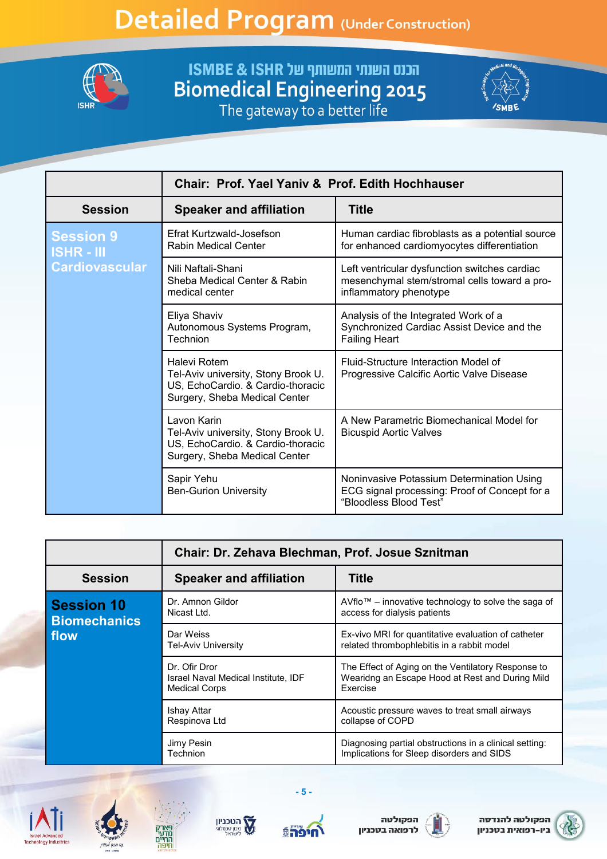

**FISMBE & ISHR שנתי המשותף של ISMBE & ISHR**<br>Biomedical Engineering 2015<br>The gateway to a better life



|                                     | Chair: Prof. Yael Yaniv & Prof. Edith Hochhauser                                                                          |                                                                                                                         |
|-------------------------------------|---------------------------------------------------------------------------------------------------------------------------|-------------------------------------------------------------------------------------------------------------------------|
| <b>Session</b>                      | <b>Speaker and affiliation</b>                                                                                            | <b>Title</b>                                                                                                            |
| <b>Session 9</b><br><b>ISHR-III</b> | Efrat Kurtzwald-Josefson<br><b>Rabin Medical Center</b>                                                                   | Human cardiac fibroblasts as a potential source<br>for enhanced cardiomyocytes differentiation                          |
| <b>Cardiovascular</b>               | Nili Naftali-Shani<br>Sheba Medical Center & Rabin<br>medical center                                                      | Left ventricular dysfunction switches cardiac<br>mesenchymal stem/stromal cells toward a pro-<br>inflammatory phenotype |
|                                     | Eliya Shaviv<br>Autonomous Systems Program,<br>Technion                                                                   | Analysis of the Integrated Work of a<br>Synchronized Cardiac Assist Device and the<br><b>Failing Heart</b>              |
|                                     | Halevi Rotem<br>Tel-Aviv university, Stony Brook U.<br>US, EchoCardio. & Cardio-thoracic<br>Surgery, Sheba Medical Center | Fluid-Structure Interaction Model of<br>Progressive Calcific Aortic Valve Disease                                       |
|                                     | Lavon Karin<br>Tel-Aviv university, Stony Brook U.<br>US, EchoCardio. & Cardio-thoracic<br>Surgery, Sheba Medical Center  | A New Parametric Biomechanical Model for<br><b>Bicuspid Aortic Valves</b>                                               |
|                                     | Sapir Yehu<br><b>Ben-Gurion University</b>                                                                                | Noninvasive Potassium Determination Using<br>ECG signal processing: Proof of Concept for a<br>"Bloodless Blood Test"    |

|                                          | Chair: Dr. Zehava Blechman, Prof. Josue Sznitman                             |                                                                                                                   |
|------------------------------------------|------------------------------------------------------------------------------|-------------------------------------------------------------------------------------------------------------------|
| <b>Session</b>                           | <b>Speaker and affiliation</b>                                               | <b>Title</b>                                                                                                      |
| <b>Session 10</b><br><b>Biomechanics</b> | Dr. Amnon Gildor<br>Nicast Ltd.                                              | AVflo™ – innovative technology to solve the saga of<br>access for dialysis patients                               |
| flow                                     | Dar Weiss<br><b>Tel-Aviv University</b>                                      | Ex-vivo MRI for quantitative evaluation of catheter<br>related thrombophlebitis in a rabbit model                 |
|                                          | Dr. Ofir Dror<br>Israel Naval Medical Institute, IDF<br><b>Medical Corps</b> | The Effect of Aging on the Ventilatory Response to<br>Wearidng an Escape Hood at Rest and During Mild<br>Exercise |
|                                          | Ishay Attar<br>Respinova Ltd                                                 | Acoustic pressure waves to treat small airways<br>collapse of COPD                                                |
|                                          | Jimy Pesin<br>Technion                                                       | Diagnosing partial obstructions in a clinical setting:<br>Implications for Sleep disorders and SIDS               |









 $-5-$ 





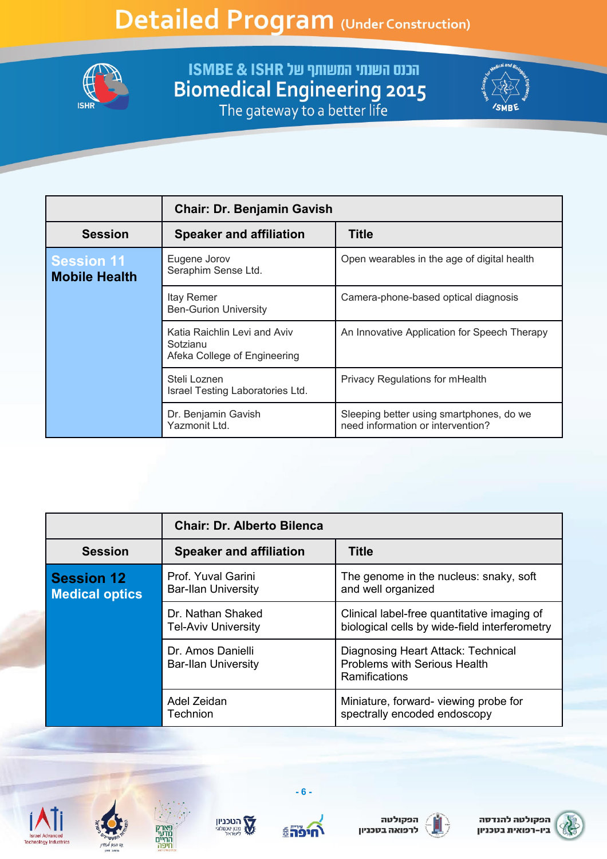

**FISMBE & ISHR שנתי המשותף של ISMBE & ISHR**<br>Biomedical Engineering 2015<br>The gateway to a better life



|                                           | <b>Chair: Dr. Benjamin Gavish</b>                                        |                                                                               |
|-------------------------------------------|--------------------------------------------------------------------------|-------------------------------------------------------------------------------|
| <b>Session</b>                            | <b>Speaker and affiliation</b>                                           | <b>Title</b>                                                                  |
| <b>Session 11</b><br><b>Mobile Health</b> | Eugene Jorov<br>Seraphim Sense Ltd.                                      | Open wearables in the age of digital health                                   |
|                                           | Itay Remer<br><b>Ben-Gurion University</b>                               | Camera-phone-based optical diagnosis                                          |
|                                           | Katia Raichlin Levi and Aviv<br>Sotzianu<br>Afeka College of Engineering | An Innovative Application for Speech Therapy                                  |
|                                           | Steli Loznen<br>Israel Testing Laboratories Ltd.                         | Privacy Regulations for mHealth                                               |
|                                           | Dr. Benjamin Gavish<br>Yazmonit Ltd.                                     | Sleeping better using smartphones, do we<br>need information or intervention? |

|                                            | <b>Chair: Dr. Alberto Bilenca</b>                |                                                                                                   |
|--------------------------------------------|--------------------------------------------------|---------------------------------------------------------------------------------------------------|
| <b>Session</b>                             | <b>Speaker and affiliation</b>                   | <b>Title</b>                                                                                      |
| <b>Session 12</b><br><b>Medical optics</b> | Prof. Yuval Garini<br><b>Bar-Ilan University</b> | The genome in the nucleus: snaky, soft<br>and well organized                                      |
|                                            | Dr. Nathan Shaked<br><b>Tel-Aviv University</b>  | Clinical label-free quantitative imaging of<br>biological cells by wide-field interferometry      |
|                                            | Dr. Amos Danielli<br><b>Bar-Ilan University</b>  | Diagnosing Heart Attack: Technical<br><b>Problems with Serious Health</b><br><b>Ramifications</b> |
|                                            | Adel Zeidan<br>Technion                          | Miniature, forward-viewing probe for<br>spectrally encoded endoscopy                              |









 $-6-$